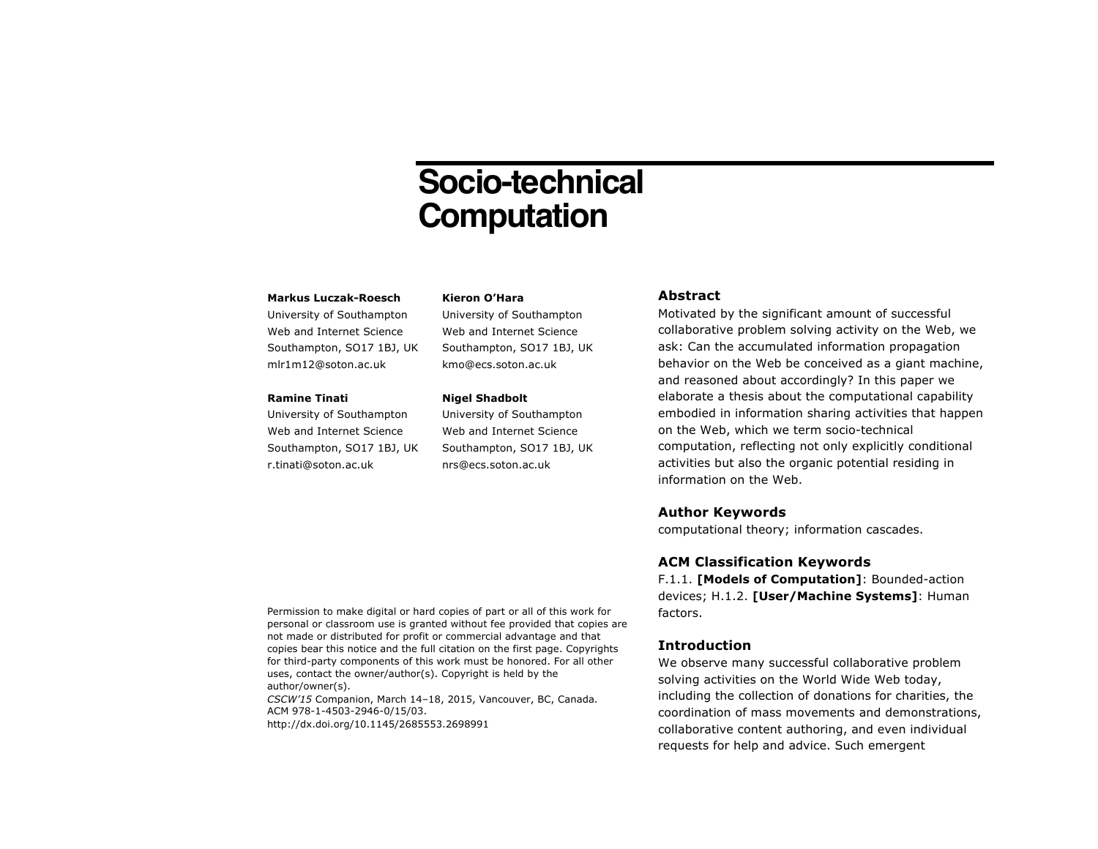# **Socio-technical Computation**

### **Markus Luczak-Roesch**

University of Southampton Web and Internet Science Southampton, SO17 1BJ, UK mlr1m12@soton.ac.uk

### **Ramine Tinati**

University of Southampton Web and Internet Science Southampton, SO17 1BJ, UK r.tinati@soton.ac.uk

#### **Kieron O'Hara**

University of Southampton Web and Internet Science Southampton, SO17 1BJ, UK kmo@ecs.soton.ac.uk

#### **Nigel Shadbolt**

University of Southampton Web and Internet Science Southampton, SO17 1BJ, UK nrs@ecs.soton.ac.uk

# **Abstract**

Motivated by the significant amount of successful collaborative problem solving activity on the Web, we ask: Can the accumulated information propagation behavior on the Web be conceived as a giant machine, and reasoned about accordingly? In this paper we elaborate a thesis about the computational capability embodied in information sharing activities that happen on the Web, which we term socio-technical computation, reflecting not only explicitly conditional activities but also the organic potential residing in information on the Web.

# **Author Keywords**

computational theory; information cascades.

# **ACM Classification Keywords**

F.1.1. **[Models of Computation]**: Bounded-action devices; H.1.2. **[User/Machine Systems]**: Human factors.

# **Introduction**

We observe many successful collaborative problem solving activities on the World Wide Web today, including the collection of donations for charities, the coordination of mass movements and demonstrations, collaborative content authoring, and even individual requests for help and advice. Such emergent

Permission to make digital or hard copies of part or all of this work for personal or classroom use is granted without fee provided that copies are not made or distributed for profit or commercial advantage and that copies bear this notice and the full citation on the first page. Copyrights for third-party components of this work must be honored. For all other uses, contact the owner/author(s). Copyright is held by the author/owner(s).

*CSCW'15* Companion, March 14–18, 2015, Vancouver, BC, Canada. ACM 978-1-4503-2946-0/15/03. http://dx.doi.org/10.1145/2685553.2698991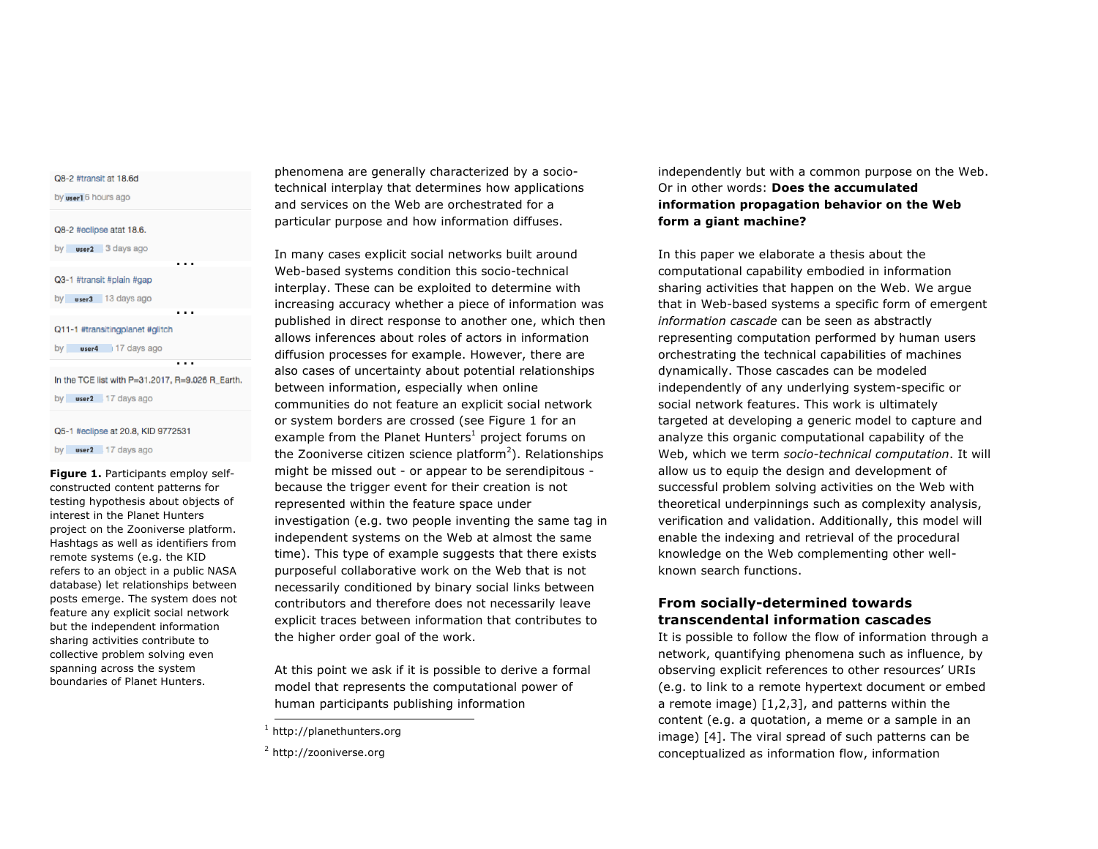| Q8-2 #transit at 18.6d          |
|---------------------------------|
| by user16 hours ago             |
| Q8-2 #eclipse atat 18.6.        |
| by $user2 - 3$ days ago         |
|                                 |
| Q3-1 #transit #plain #gap       |
| by $user3$ 13 days ago          |
|                                 |
| Q11-1 #transitingplanet #glitch |

by user4 17 days ago

In the TCE list with P=31.2017, R=9.026 R\_Earth.

 $\cdots$ 

by **user2** 17 days ago

#### Q5-1 #eclipse at 20.8, KID 9772531

by **user2** 17 days ago

**Figure 1.** Participants employ selfconstructed content patterns for testing hypothesis about objects of interest in the Planet Hunters project on the Zooniverse platform. Hashtags as well as identifiers from remote systems (e.g. the KID refers to an object in a public NASA database) let relationships between posts emerge. The system does not feature any explicit social network but the independent information sharing activities contribute to collective problem solving even spanning across the system boundaries of Planet Hunters.

phenomena are generally characterized by a sociotechnical interplay that determines how applications and services on the Web are orchestrated for a particular purpose and how information diffuses.

In many cases explicit social networks built around Web-based systems condition this socio-technical interplay. These can be exploited to determine with increasing accuracy whether a piece of information was published in direct response to another one, which then allows inferences about roles of actors in information diffusion processes for example. However, there are also cases of uncertainty about potential relationships between information, especially when online communities do not feature an explicit social network or system borders are crossed (see Figure 1 for an example from the Planet Hunters $<sup>1</sup>$  project forums on</sup> the Zooniverse citizen science platform<sup>2</sup>). Relationships might be missed out - or appear to be serendipitous because the trigger event for their creation is not represented within the feature space under investigation (e.g. two people inventing the same tag in independent systems on the Web at almost the same time). This type of example suggests that there exists purposeful collaborative work on the Web that is not necessarily conditioned by binary social links between contributors and therefore does not necessarily leave explicit traces between information that contributes to the higher order goal of the work.

At this point we ask if it is possible to derive a formal model that represents the computational power of human participants publishing information

independently but with a common purpose on the Web. Or in other words: **Does the accumulated information propagation behavior on the Web form a giant machine?**

In this paper we elaborate a thesis about the computational capability embodied in information sharing activities that happen on the Web. We argue that in Web-based systems a specific form of emergent *information cascade* can be seen as abstractly representing computation performed by human users orchestrating the technical capabilities of machines dynamically. Those cascades can be modeled independently of any underlying system-specific or social network features. This work is ultimately targeted at developing a generic model to capture and analyze this organic computational capability of the Web, which we term *socio-technical computation*. It will allow us to equip the design and development of successful problem solving activities on the Web with theoretical underpinnings such as complexity analysis, verification and validation. Additionally, this model will enable the indexing and retrieval of the procedural knowledge on the Web complementing other wellknown search functions.

# **From socially-determined towards transcendental information cascades**

It is possible to follow the flow of information through a network, quantifying phenomena such as influence, by observing explicit references to other resources' URIs (e.g. to link to a remote hypertext document or embed a remote image) [1,2,3], and patterns within the content (e.g. a quotation, a meme or a sample in an image) [4]. The viral spread of such patterns can be conceptualized as information flow, information

 <sup>1</sup> http://planethunters.org

<sup>2</sup> http://zooniverse.org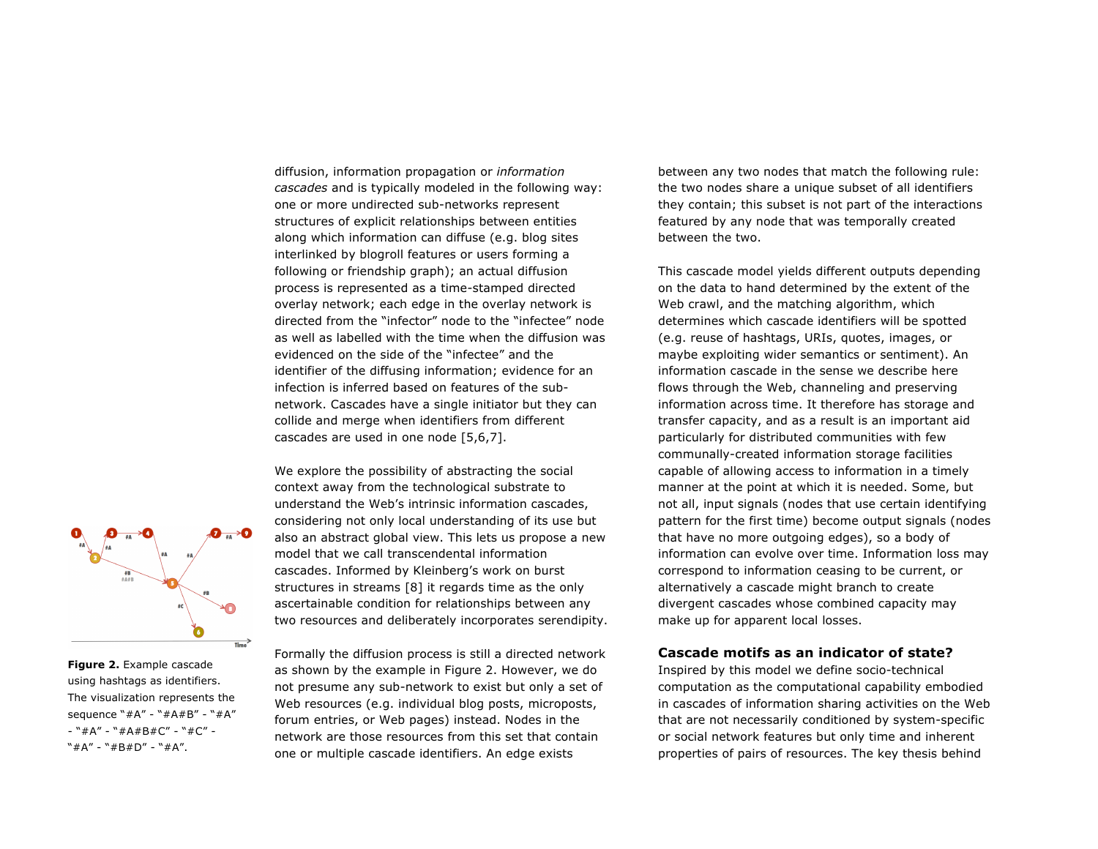diffusion, information propagation or *information cascades* and is typically modeled in the following way: one or more undirected sub-networks represent structures of explicit relationships between entities along which information can diffuse (e.g. blog sites interlinked by blogroll features or users forming a following or friendship graph); an actual diffusion process is represented as a time-stamped directed overlay network; each edge in the overlay network is directed from the "infector" node to the "infectee" node as well as labelled with the time when the diffusion was evidenced on the side of the "infectee" and the identifier of the diffusing information; evidence for an infection is inferred based on features of the subnetwork. Cascades have a single initiator but they can collide and merge when identifiers from different cascades are used in one node [5,6,7].

We explore the possibility of abstracting the social context away from the technological substrate to understand the Web's intrinsic information cascades, considering not only local understanding of its use but also an abstract global view. This lets us propose a new model that we call transcendental information cascades. Informed by Kleinberg's work on burst structures in streams [8] it regards time as the only ascertainable condition for relationships between any two resources and deliberately incorporates serendipity.

between any two nodes that match the following rule: the two nodes share a unique subset of all identifiers they contain; this subset is not part of the interactions featured by any node that was temporally created between the two.

This cascade model yields different outputs depending on the data to hand determined by the extent of the Web crawl, and the matching algorithm, which determines which cascade identifiers will be spotted (e.g. reuse of hashtags, URIs, quotes, images, or maybe exploiting wider semantics or sentiment). An information cascade in the sense we describe here flows through the Web, channeling and preserving information across time. It therefore has storage and transfer capacity, and as a result is an important aid particularly for distributed communities with few communally-created information storage facilities capable of allowing access to information in a timely manner at the point at which it is needed. Some, but not all, input signals (nodes that use certain identifying pattern for the first time) become output signals (nodes that have no more outgoing edges), so a body of information can evolve over time. Information loss may correspond to information ceasing to be current, or alternatively a cascade might branch to create divergent cascades whose combined capacity may make up for apparent local losses.

# **Cascade motifs as an indicator of state?**

Inspired by this model we define socio-technical computation as the computational capability embodied in cascades of information sharing activities on the Web that are not necessarily conditioned by system-specific or social network features but only time and inherent properties of pairs of resources. The key thesis behind



**Figure 2.** Example cascade using hashtags as identifiers. The visualization represents the sequence "#A" - "#A#B" - "#A" - "#A" - "#A#B#C" - "#C" - "#A" - "#B#D" - "#A".

Formally the diffusion process is still a directed network as shown by the example in Figure 2. However, we do not presume any sub-network to exist but only a set of Web resources (e.g. individual blog posts, microposts, forum entries, or Web pages) instead. Nodes in the network are those resources from this set that contain one or multiple cascade identifiers. An edge exists